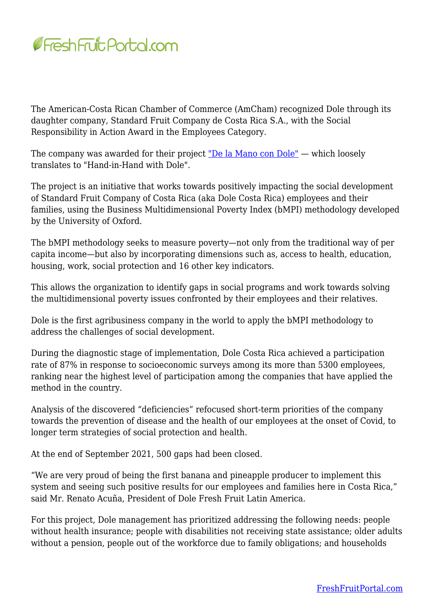

The American-Costa Rican Chamber of Commerce (AmCham) recognized Dole through its daughter company, Standard Fruit Company de Costa Rica S.A., with the Social Responsibility in Action Award in the Employees Category.

The company was awarded for their project ["De la Mano con Dole"](https://www.amcham.cr/proyecto/standard-fruit-company-de-costa-rica-s-a-colaboradores/)  $-$  which loosely translates to "Hand-in-Hand with Dole".

The project is an initiative that works towards positively impacting the social development of Standard Fruit Company of Costa Rica (aka Dole Costa Rica) employees and their families, using the Business Multidimensional Poverty Index (bMPI) methodology developed by the University of Oxford.

The bMPI methodology seeks to measure poverty—not only from the traditional way of per capita income—but also by incorporating dimensions such as, access to health, education, housing, work, social protection and 16 other key indicators.

This allows the organization to identify gaps in social programs and work towards solving the multidimensional poverty issues confronted by their employees and their relatives.

Dole is the first agribusiness company in the world to apply the bMPI methodology to address the challenges of social development.

During the diagnostic stage of implementation, Dole Costa Rica achieved a participation rate of 87% in response to socioeconomic surveys among its more than 5300 employees, ranking near the highest level of participation among the companies that have applied the method in the country.

Analysis of the discovered "deficiencies" refocused short-term priorities of the company towards the prevention of disease and the health of our employees at the onset of Covid, to longer term strategies of social protection and health.

At the end of September 2021, 500 gaps had been closed.

"We are very proud of being the first banana and pineapple producer to implement this system and seeing such positive results for our employees and families here in Costa Rica," said Mr. Renato Acuña, President of Dole Fresh Fruit Latin America.

For this project, Dole management has prioritized addressing the following needs: people without health insurance; people with disabilities not receiving state assistance; older adults without a pension, people out of the workforce due to family obligations; and households